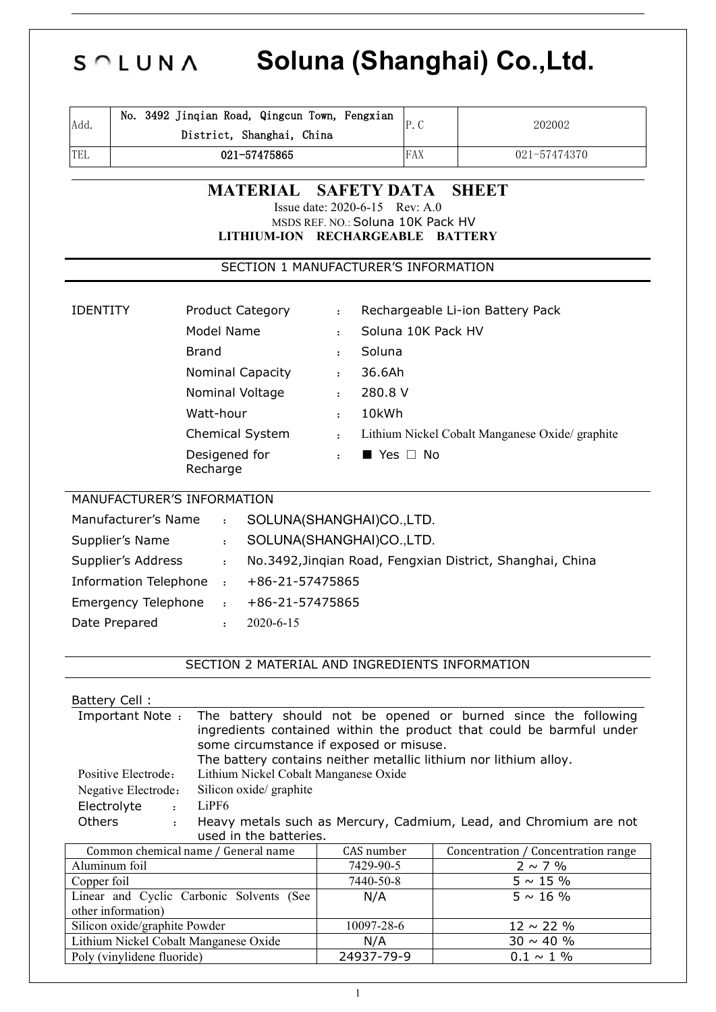# **Soluna (Shanghai) Co.,Ltd.**  $S \cap L$   $U N$   $\Lambda$

| Add.                                                                         | No. 3492 Jinqian Road, Qingcun Town, Fengxian<br>District, Shanghai, China |                                                      | P.C                | 202002                                                    |  |  |
|------------------------------------------------------------------------------|----------------------------------------------------------------------------|------------------------------------------------------|--------------------|-----------------------------------------------------------|--|--|
| TEL                                                                          | 021-57475865                                                               |                                                      | FAX                | 021-57474370                                              |  |  |
|                                                                              |                                                                            |                                                      |                    |                                                           |  |  |
|                                                                              | <b>MATERIAL</b>                                                            | <b>SAFETY DATA</b><br>Issue date: 2020-6-15 Rev: A.0 |                    | <b>SHEET</b>                                              |  |  |
|                                                                              |                                                                            | MSDS REF. NO.: Soluna 10K Pack HV                    |                    |                                                           |  |  |
|                                                                              | LITHIUM-ION RECHARGEABLE BATTERY                                           |                                                      |                    |                                                           |  |  |
|                                                                              | SECTION 1 MANUFACTURER'S INFORMATION                                       |                                                      |                    |                                                           |  |  |
|                                                                              |                                                                            |                                                      |                    |                                                           |  |  |
| <b>IDENTITY</b>                                                              | <b>Product Category</b>                                                    | $\ddot{\phantom{a}}$                                 |                    | Rechargeable Li-ion Battery Pack                          |  |  |
|                                                                              | Model Name                                                                 | $\mathbf{r}$                                         | Soluna 10K Pack HV |                                                           |  |  |
|                                                                              | Brand                                                                      | Soluna<br>$\cdot$                                    |                    |                                                           |  |  |
|                                                                              | Nominal Capacity                                                           | 36.6Ah<br>$\ddot{\cdot}$                             |                    |                                                           |  |  |
|                                                                              | Nominal Voltage                                                            | 280.8 V<br>$\ddot{\cdot}$                            |                    |                                                           |  |  |
|                                                                              | Watt-hour                                                                  | 10kWh<br>$\mathbf{r}$                                |                    |                                                           |  |  |
|                                                                              | Chemical System                                                            | $\mathbf{r} = \mathbf{r}$                            |                    | Lithium Nickel Cobalt Manganese Oxide/ graphite           |  |  |
| Desigened for<br>Recharge                                                    |                                                                            | $\blacksquare$ Yes $\square$ No<br>$\mathbf{r}$      |                    |                                                           |  |  |
| MANUFACTURER'S INFORMATION                                                   |                                                                            |                                                      |                    |                                                           |  |  |
| Manufacturer's Name                                                          | $\mathbf{r}$                                                               | SOLUNA(SHANGHAI)CO.,LTD.                             |                    |                                                           |  |  |
| Supplier's Name                                                              | $\ddot{\cdot}$                                                             | SOLUNA(SHANGHAI)CO.,LTD.                             |                    |                                                           |  |  |
| Supplier's Address<br>$\mathbf{r}$                                           |                                                                            |                                                      |                    | No.3492, Jinqian Road, Fengxian District, Shanghai, China |  |  |
| Information Telephone :<br>+86-21-57475865                                   |                                                                            |                                                      |                    |                                                           |  |  |
| <b>Emergency Telephone</b><br>+86-21-57475865<br>$\mathbf{r}$ : $\mathbf{r}$ |                                                                            |                                                      |                    |                                                           |  |  |
| Date Prepared                                                                | 2020-6-15<br>$\cdot$                                                       |                                                      |                    |                                                           |  |  |
|                                                                              | SECTION 2 MATERIAL AND INGREDIENTS INFORMATION                             |                                                      |                    |                                                           |  |  |
| Battery Cell:                                                                |                                                                            |                                                      |                    |                                                           |  |  |

| ingredients contained within the product that could be barmful under<br>some circumstance if exposed or misuse. |
|-----------------------------------------------------------------------------------------------------------------|
| The battery contains neither metallic lithium nor lithium alloy.                                                |
| Lithium Nickel Cobalt Manganese Oxide<br>Positive Electrode:                                                    |
| Silicon oxide/ graphite<br>Negative Electrode:                                                                  |
| Electrolyte<br>LiPF6<br>$\cdot$                                                                                 |
| <b>Others</b><br>Heavy metals such as Mercury, Cadmium, Lead, and Chromium are not                              |
| used in the batteries.                                                                                          |
| Common chemical name / General name<br>Concentration / Concentration range<br>CAS number                        |
| Aluminum foil<br>7429-90-5<br>$2 \sim 7 \%$                                                                     |
| 7440-50-8<br>$5 \sim 15 \%$<br>Copper foil                                                                      |
| $5 \sim 16 \%$<br>Linear and Cyclic Carbonic Solvents (See<br>N/A                                               |
| other information)                                                                                              |
| $12 \sim 22 \%$<br>Silicon oxide/graphite Powder<br>10097-28-6                                                  |
| Lithium Nickel Cobalt Manganese Oxide<br>$30 \sim 40 \%$<br>N/A                                                 |
| Poly (vinylidene fluoride)<br>24937-79-9<br>$0.1 \sim 1 \%$                                                     |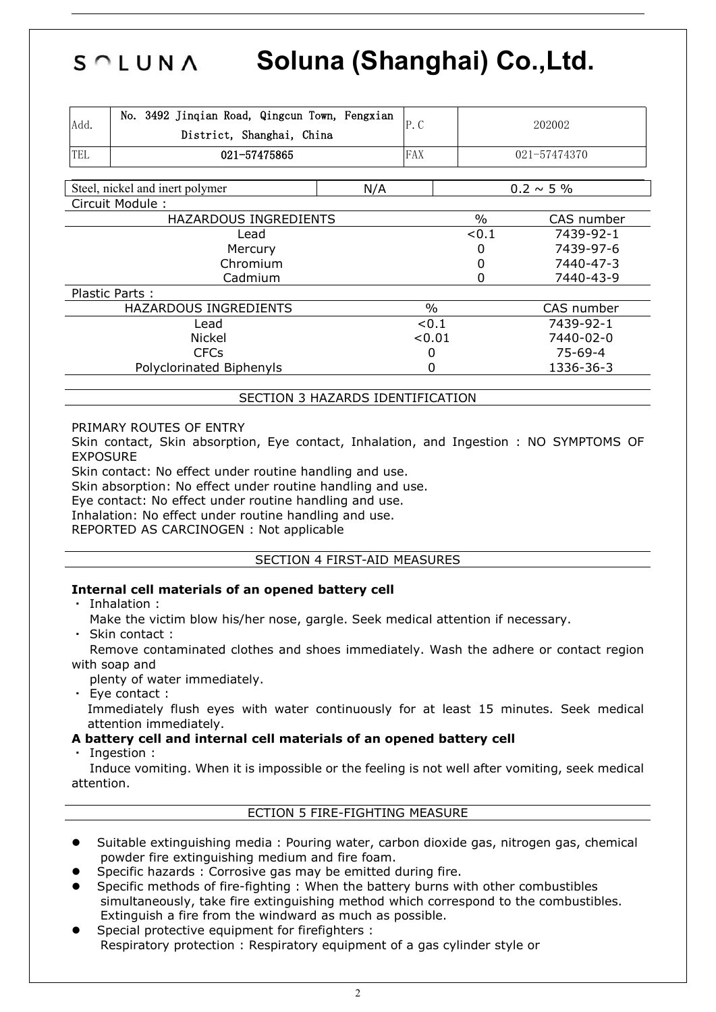# **Soluna (Shanghai) Co.,Ltd.**  $S \cap L$   $U N \wedge$

| Add.                     | No. 3492 Jinqian Road, Qingcun Town, Fengxian<br>District, Shanghai, China |     | P.C           |               | 202002          |  |
|--------------------------|----------------------------------------------------------------------------|-----|---------------|---------------|-----------------|--|
| TEL                      | 021-57475865                                                               |     |               |               | 021-57474370    |  |
|                          | Steel, nickel and inert polymer                                            | N/A |               |               | $0.2 \sim 5 \%$ |  |
|                          | Circuit Module:                                                            |     |               |               |                 |  |
|                          | HAZARDOUS INGREDIENTS                                                      |     |               | $\frac{0}{0}$ | CAS number      |  |
|                          | Lead                                                                       |     |               | < 0.1         | 7439-92-1       |  |
| Mercury                  |                                                                            |     |               |               | 7439-97-6       |  |
| Chromium                 |                                                                            |     |               |               | 7440-47-3       |  |
| Cadmium                  |                                                                            |     |               |               | 7440-43-9       |  |
|                          | Plastic Parts:                                                             |     |               |               |                 |  |
| HAZARDOUS INGREDIENTS    |                                                                            |     | $\frac{0}{0}$ |               | CAS number      |  |
| Lead                     |                                                                            |     | < 0.1         |               | 7439-92-1       |  |
| <b>Nickel</b>            |                                                                            |     | < 0.01        |               | 7440-02-0       |  |
| <b>CFCs</b>              |                                                                            |     | 0             |               | $75 - 69 - 4$   |  |
| Polyclorinated Biphenyls |                                                                            |     | 0             |               | 1336-36-3       |  |

SECTION 3 HAZARDS IDENTIFICATION

PRIMARY ROUTES OF ENTRY

Skin contact, Skin absorption, Eye contact, Inhalation, and Ingestion : NO SYMPTOMS OF EXPOSURE

Skin contact: No effect under routine handling and use.

Skin absorption: No effect under routine handling and use.

Eye contact: No effect under routine handling and use.

Inhalation: No effect under routine handling and use.

REPORTED AS CARCINOGEN : Not applicable

#### SECTION 4 FIRST-AID MEASURES

#### **Internal cell materials of an opened battery cell**

- ・ Inhalation :
	- Make the victim blow his/her nose, gargle. Seek medical attention if necessary.
- Skin contact :

Remove contaminated clothes and shoes immediately. Wash the adhere or contact region with soap and

plenty of water immediately.

・ Eye contact : Immediately flush eyes with water continuously for at least 15 minutes. Seek medical attention immediately.

#### **A battery cell and internal cell materials of an opened battery cell**

Ingestion :

Induce vomiting. When it is impossible or the feeling is not well after vomiting, seek medical attention.

#### ECTION 5 FIRE-FIGHTING MEASURE

- Suitable extinguishing media : Pouring water, carbon dioxide gas, nitrogen gas, chemical powder fire extinguishing medium and fire foam.
- Specific hazards : Corrosive gas may be emitted during fire.
- Specific methods of fire-fighting : When the battery burns with other combustibles simultaneously, take fire extinguishing method which correspond to the combustibles. Extinguish a fire from the windward as much as possible.
- Special protective equipment for firefighters : Respiratory protection : Respiratory equipment of a gas cylinder style or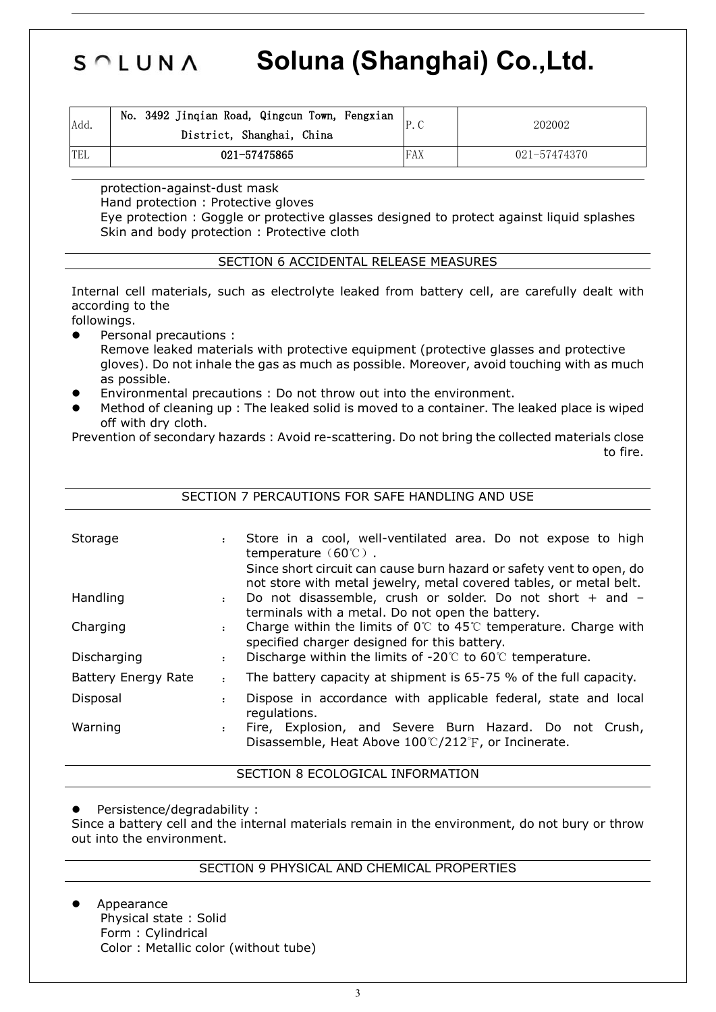# SOLUNA **Soluna (Shanghai) Co.,Ltd.**

| Add.       | No. 3492 Jinqian Road, Qingcun Town, Fengxian<br>District, Shanghai, China |     | 202002       |
|------------|----------------------------------------------------------------------------|-----|--------------|
| <b>TEL</b> | 021-57475865                                                               | FAX | 021-57474370 |

protection-against-dust mask

Hand protection : Protective gloves

Eye protection : Goggle or protective glasses designed to protect against liquid splashes Skin and body protection : Protective cloth

#### SECTION 6 ACCIDENTAL RELEASE MEASURES

Internal cell materials, such as electrolyte leaked from battery cell, are carefully dealt with according to the

followings.

- Personal precautions :
	- Remove leaked materials with protective equipment (protective glasses and protective gloves). Do not inhale the gas as much as possible. Moreover, avoid touching with as much as possible.
- Environmental precautions : Do not throw out into the environment.
- Method of cleaning up : The leaked solid is moved to a container. The leaked place is wiped off with dry cloth.<br>Prevention of secondary hazards : Avoid re-scattering. Do not bring the collected materials close

to fire.

|                     |                | SECTION 7 PERCAUTIONS FOR SAFE HANDLING AND USE                                                                                                                                     |
|---------------------|----------------|-------------------------------------------------------------------------------------------------------------------------------------------------------------------------------------|
| Storage             |                | Store in a cool, well-ventilated area. Do not expose to high<br>temperature $(60^{\circ}\text{C})$ .<br>Since short circuit can cause burn hazard or safety vent to open, do        |
| Handling            | $\ddot{\cdot}$ | not store with metal jewelry, metal covered tables, or metal belt.<br>Do not disassemble, crush or solder. Do not short + and -<br>terminals with a metal. Do not open the battery. |
| Charging            |                | Charge within the limits of $0^{\circ}$ to 45°C temperature. Charge with<br>specified charger designed for this battery.                                                            |
| Discharging         |                | Discharge within the limits of $-20^{\circ}$ to 60 $^{\circ}$ temperature.                                                                                                          |
| Battery Energy Rate | $\ddot{\cdot}$ | The battery capacity at shipment is 65-75 % of the full capacity.                                                                                                                   |
| Disposal            |                | Dispose in accordance with applicable federal, state and local<br>regulations.                                                                                                      |
| Warning             |                | Fire, Explosion, and Severe Burn Hazard. Do not Crush,<br>Disassemble, Heat Above $100^{\circ}C/212^{\circ}F$ , or Incinerate.                                                      |

SECTION 8 ECOLOGICAL INFORMATION

Persistence/degradability :

Since a battery cell and the internal materials remain in the environment, do not bury or throw out into the environment.

#### SECTION 9 PHYSICAL AND CHEMICAL PROPERTIES

 Appearance Physical state : Solid Form : Cylindrical Color : Metallic color (without tube)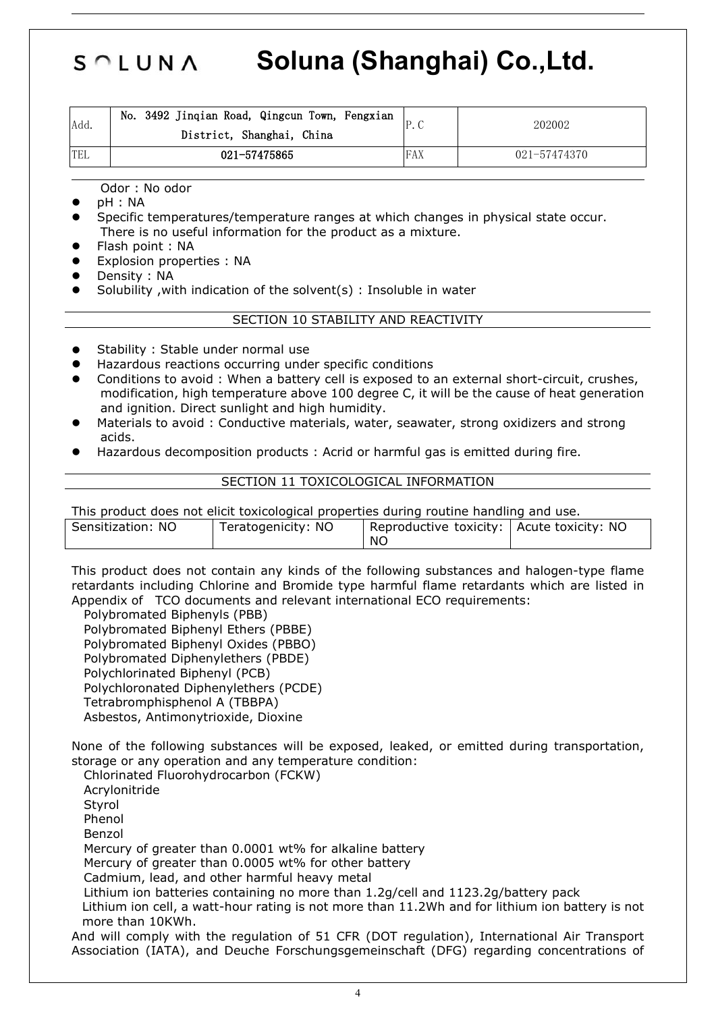# SOLUNA **Soluna (Shanghai) Co.,Ltd.**

| Add. | No.<br>3492 Jinqian Road, Qingcun Town, Fengxian<br>District, Shanghai, China |     | 202002       |
|------|-------------------------------------------------------------------------------|-----|--------------|
| 'TEL | 021-57475865                                                                  | FAX | 021-57474370 |

Odor : No odor

- pH : NA
- Specific temperatures/temperature ranges at which changes in physical state occur. There is no useful information for the product as a mixture.
- Flash point : NA
- Explosion properties : NA
- Density : NA
- Solubility ,with indication of the solvent(s) : Insoluble in water

#### SECTION 10 STABILITY AND REACTIVITY

- Stability : Stable under normal use
- Hazardous reactions occurring under specific conditions
- Conditions to avoid : When a battery cell is exposed to an external short-circuit, crushes, modification, high temperature above 100 degree C, it will be the cause of heat generation and ignition. Direct sunlight and high humidity.
- Materials to avoid : Conductive materials, water, seawater, strong oxidizers and strong acids.
- Hazardous decomposition products : Acrid or harmful gas is emitted during fire.

#### SECTION 11 TOXICOLOGICAL INFORMATION

This product does not elicit toxicological properties during routine handling and use.

| <b>NO</b><br>Sensitization: | Teratogenicity: NO | toxicity:<br>Reproductive | -NO<br>Acute toxicity: |  |
|-----------------------------|--------------------|---------------------------|------------------------|--|
|                             |                    | NO.                       |                        |  |
|                             |                    |                           |                        |  |

This product does not contain any kinds of the following substances and halogen-type flame retardants including Chlorine and Bromide type harmful flame retardants which are listed in Appendix of TCO documents and relevant international ECO requirements:

Polybromated Biphenyls (PBB) Polybromated Biphenyl Ethers (PBBE) Polybromated Biphenyl Oxides (PBBO)

Polybromated Diphenylethers (PBDE)

Polychlorinated Biphenyl (PCB)

Polychloronated Diphenylethers (PCDE)

Tetrabromphisphenol A (TBBPA)

Asbestos, Antimonytrioxide, Dioxine

None of the following substances will be exposed, leaked, or emitted during transportation, storage or any operation and any temperature condition:

Chlorinated Fluorohydrocarbon (FCKW) Acrylonitride Styrol Phenol Benzol Mercury of greater than 0.0001 wt% for alkaline battery Mercury of greater than 0.0005 wt% for other battery Cadmium, lead, and other harmful heavy metal Lithium ion batteries containing no more than 1.2g/cell and 1123.2g/battery pack Lithium ion cell, a watt-hour rating is not more than 11.2Wh and for lithium ion battery is not more than 10KWh.

And will comply with the regulation of 51 CFR (DOT regulation), International Air Transport Association (IATA), and Deuche Forschungsgemeinschaft (DFG) regarding concentrations of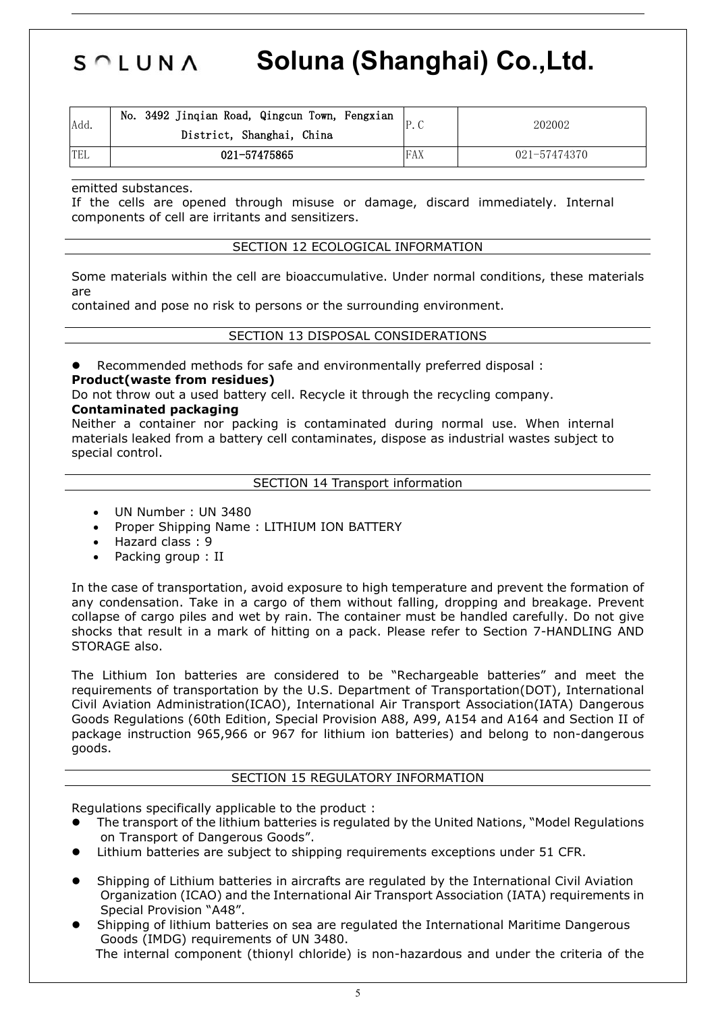### SOLUNA **Soluna (Shanghai) Co.,Ltd.**

| Add.       | No. 3492 Jinqian Road, Qingcun Town, Fengxian<br>District, Shanghai, China |             | 202002       |  |
|------------|----------------------------------------------------------------------------|-------------|--------------|--|
| <b>TEL</b> | 021-57475865                                                               | <b>IFAX</b> | 021-57474370 |  |

emitted substances.

If the cells are opened through misuse or damage, discard immediately. Internal components of cell are irritants and sensitizers.

#### SECTION 12 ECOLOGICAL INFORMATION

Some materials within the cell are bioaccumulative. Under normal conditions, these materials are

contained and pose no risk to persons or the surrounding environment.

#### SECTION 13 DISPOSAL CONSIDERATIONS

Recommended methods for safe and environmentally preferred disposal :

#### **Product(waste from residues)**

Do not throw out a used battery cell. Recycle it through the recycling company. **Contaminated packaging**

Neither a container nor packing is contaminated during normal use. When internal materials leaked from a battery cell contaminates, dispose as industrial wastes subject to special control.

#### SECTION 14 Transport information

- UN Number : UN 3480
- Proper Shipping Name : LITHIUM ION BATTERY
- Hazard class : 9
- Packing group : II

In the case of transportation, avoid exposure to high temperature and prevent the formation of any condensation. Take in a cargo of them without falling, dropping and breakage. Prevent collapse of cargo piles and wet by rain. The container must be handled carefully. Do not give shocks that result in a mark of hitting on a pack. Please refer to Section 7-HANDLING AND STORAGE also.

The Lithium Ion batteries are considered to be "Rechargeable batteries" and meet the requirements of transportation by the U.S. Department of Transportation(DOT), International Civil Aviation Administration(ICAO), International Air Transport Association(IATA) Dangerous Goods Regulations (60th Edition, Special Provision A88, A99, A154 and A164 and Section II of package instruction 965,966 or 967 for lithium ion batteries) and belong to non-dangerous goods.

#### SECTION 15 REGULATORY INFORMATION

Regulations specifically applicable to the product :

- The transport of the lithium batteries is regulated by the United Nations, "Model Regulations on Transport of Dangerous Goods".
- Lithium batteries are subject to shipping requirements exceptions under 51 CFR.
- Shipping of Lithium batteries in aircrafts are regulated by the International Civil Aviation Organization (ICAO) and the International Air Transport Association (IATA) requirements in Special Provision "A48".
- Shipping of lithium batteries on sea are regulated the International Maritime Dangerous Goods (IMDG) requirements of UN 3480. The internal component (thionyl chloride) is non-hazardous and under the criteria of the